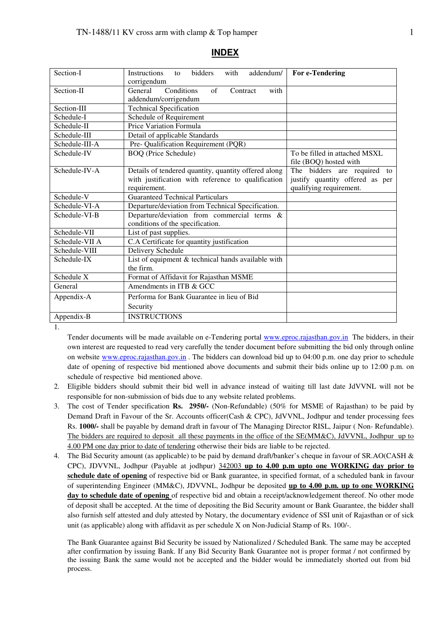| Section-I               | <b>Instructions</b><br>bidders<br>with<br>addendum/<br>to | For e-Tendering                 |
|-------------------------|-----------------------------------------------------------|---------------------------------|
|                         | corrigendum                                               |                                 |
| Section-II              | General<br>Conditions<br>$\alpha$ f<br>with<br>Contract   |                                 |
|                         | addendum/corrigendum                                      |                                 |
| Section-III             | <b>Technical Specification</b>                            |                                 |
| Schedule-I              | Schedule of Requirement                                   |                                 |
| Schedule-II             | Price Variation Formula                                   |                                 |
| Schedule-III            | Detail of applicable Standards                            |                                 |
| Schedule-III-A          | Pre- Qualification Requirement (PQR)                      |                                 |
| Schedule-IV             | <b>BOQ</b> (Price Schedule)                               | To be filled in attached MSXL   |
|                         |                                                           | file (BOQ) hosted with          |
| Schedule-IV-A           | Details of tendered quantity, quantity offered along      | The bidders are required to     |
|                         | with justification with reference to qualification        | justify quantity offered as per |
|                         | requirement.                                              | qualifying requirement.         |
| Schedule-V              | <b>Guaranteed Technical Particulars</b>                   |                                 |
| Schedule-VI-A           | Departure/deviation from Technical Specification.         |                                 |
| Schedule-VI-B           | Departure/deviation from commercial terms &               |                                 |
|                         | conditions of the specification.                          |                                 |
| Schedule-VII            | List of past supplies.                                    |                                 |
| Schedule-VII A          | C.A Certificate for quantity justification                |                                 |
| Schedule-VIII           | Delivery Schedule                                         |                                 |
| Schedule-IX             | List of equipment & technical hands available with        |                                 |
|                         | the firm.                                                 |                                 |
| Schedule $\overline{X}$ | Format of Affidavit for Rajasthan MSME                    |                                 |
| General                 | Amendments in ITB & GCC                                   |                                 |
| Appendix-A              | Performa for Bank Guarantee in lieu of Bid                |                                 |
|                         | Security                                                  |                                 |
| Appendix-B              | <b>INSTRUCTIONS</b>                                       |                                 |

#### **INDEX**

1.

Tender documents will be made available on e-Tendering portal www.eproc.rajasthan.gov.in The bidders, in their own interest are requested to read very carefully the tender document before submitting the bid only through online on website www.eproc.rajasthan.gov.in . The bidders can download bid up to 04:00 p.m. one day prior to schedule date of opening of respective bid mentioned above documents and submit their bids online up to 12:00 p.m. on schedule of respective bid mentioned above.

- 2. Eligible bidders should submit their bid well in advance instead of waiting till last date JdVVNL will not be responsible for non-submission of bids due to any website related problems.
- 3. The cost of Tender specification **Rs. 2950/-** (Non-Refundable) (50% for MSME of Rajasthan) to be paid by Demand Draft in Favour of the Sr. Accounts officer(Cash & CPC), JdVVNL, Jodhpur and tender processing fees Rs. **1000/-** shall be payable by demand draft in favour of The Managing Director RISL, Jaipur ( Non- Refundable). The bidders are required to deposit all these payments in the office of the SE(MM&C), JdVVNL, Jodhpur up to 4.00 PM one day prior to date of tendering otherwise their bids are liable to be rejected.
- 4. The Bid Security amount (as applicable) to be paid by demand draft/banker's cheque in favour of SR.AO(CASH & CPC), JDVVNL, Jodhpur (Payable at jodhpur) 342003 **up to 4.00 p.m upto one WORKING day prior to schedule date of opening** of respective bid or Bank guarantee, in specified format, of a scheduled bank in favour of superintending Engineer (MM&C), JDVVNL, Jodhpur be deposited **up to 4.00 p.m. up to one WORKING day to schedule date of opening** of respective bid and obtain a receipt/acknowledgement thereof. No other mode of deposit shall be accepted. At the time of depositing the Bid Security amount or Bank Guarantee, the bidder shall also furnish self attested and duly attested by Notary, the documentary evidence of SSI unit of Rajasthan or of sick unit (as applicable) along with affidavit as per schedule X on Non-Judicial Stamp of Rs. 100/-.

The Bank Guarantee against Bid Security be issued by Nationalized / Scheduled Bank. The same may be accepted after confirmation by issuing Bank. If any Bid Security Bank Guarantee not is proper format / not confirmed by the issuing Bank the same would not be accepted and the bidder would be immediately shorted out from bid process.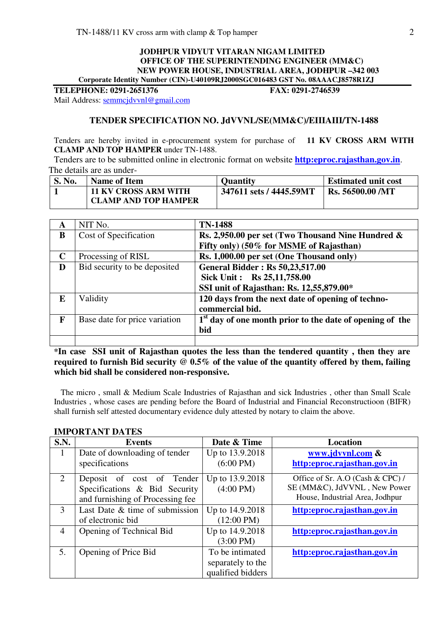#### **JODHPUR VIDYUT VITARAN NIGAM LIMITED OFFICE OF THE SUPERINTENDING ENGINEER (MM&C) NEW POWER HOUSE, INDUSTRIAL AREA, JODHPUR –342 003 Corporate Identity Number (CIN)-U40109RJ2000SGC016483 GST No. 08AAACJ8578R1ZJ**

**TELEPHONE: 0291-2651376 FAX: 0291-2746539** 

Mail Address: semmcjdvvnl@gmail.com

#### **TENDER SPECIFICATION NO. JdVVNL/SE(MM&C)/EIIIAIII/TN-1488**

Tenders are hereby invited in e-procurement system for purchase of **11 KV CROSS ARM WITH CLAMP AND TOP HAMPER** under TN-1488.

 Tenders are to be submitted online in electronic format on website **http:eproc.rajasthan.gov.in**. The details are as under-

| <b>S. No.</b> | Name of Item                                               | Ouantity                | <b>Estimated unit cost</b> |
|---------------|------------------------------------------------------------|-------------------------|----------------------------|
|               | <b>11 KV CROSS ARM WITH</b><br><b>CLAMP AND TOP HAMPER</b> | 347611 sets / 4445.59MT | <b>Rs. 56500.00 /MT</b>    |

| A            | NIT No.                       | <b>TN-1488</b>                                                       |
|--------------|-------------------------------|----------------------------------------------------------------------|
| B            | Cost of Specification         | Rs. 2,950.00 per set (Two Thousand Nine Hundred &                    |
|              |                               | Fifty only) (50% for MSME of Rajasthan)                              |
| $\mathbf C$  | Processing of RISL            | Rs. 1,000.00 per set (One Thousand only)                             |
| D            | Bid security to be deposited  | <b>General Bidder: Rs 50,23,517.00</b>                               |
|              |                               | Sick Unit: Rs 25,11,758.00                                           |
|              |                               | SSI unit of Rajasthan: Rs. 12,55,879.00*                             |
| E            | Validity                      | 120 days from the next date of opening of techno-                    |
|              |                               | commercial bid.                                                      |
| $\mathbf{F}$ | Base date for price variation | 1 <sup>st</sup> day of one month prior to the date of opening of the |
|              |                               | bid                                                                  |
|              |                               |                                                                      |

**\*In case SSI unit of Rajasthan quotes the less than the tendered quantity , then they are required to furnish Bid security @ 0.5% of the value of the quantity offered by them, failing which bid shall be considered non-responsive.** 

 The micro , small & Medium Scale Industries of Rajasthan and sick Industries , other than Small Scale Industries , whose cases are pending before the Board of Industrial and Financial Reconstructioon (BIFR) shall furnish self attested documentary evidence duly attested by notary to claim the above.

| <b>S.N.</b> | <b>Events</b>                    | Date & Time          | Location                         |
|-------------|----------------------------------|----------------------|----------------------------------|
| 1           | Date of downloading of tender    | Up to 13.9.2018      | www.jdvvnl.com &                 |
|             | specifications                   | $(6:00 \text{ PM})$  | http:eproc.rajasthan.gov.in      |
| 2           | Deposit of cost of Tender        | Up to 13.9.2018      | Office of Sr. A.O (Cash & CPC) / |
|             | Specifications & Bid Security    | $(4:00 \text{ PM})$  | SE (MM&C), JdVVNL, New Power     |
|             | and furnishing of Processing fee |                      | House, Industrial Area, Jodhpur  |
| 3           | Last Date & time of submission   | Up to 14.9.2018      | http:eproc.rajasthan.gov.in      |
|             | of electronic bid                | $(12:00 \text{ PM})$ |                                  |
| 4           | Opening of Technical Bid         | Up to 14.9.2018      | http:eproc.rajasthan.gov.in      |
|             |                                  | $(3:00 \text{ PM})$  |                                  |
| 5.          | Opening of Price Bid             | To be intimated      | http:eproc.rajasthan.gov.in      |
|             |                                  | separately to the    |                                  |
|             |                                  | qualified bidders    |                                  |

### **IMPORTANT DATES**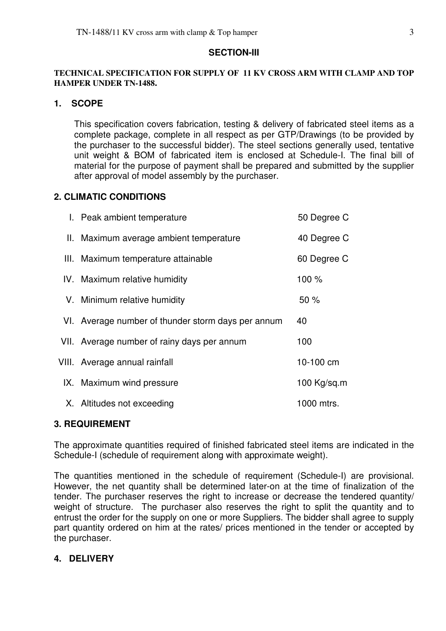#### **SECTION-III**

#### **TECHNICAL SPECIFICATION FOR SUPPLY OF 11 KV CROSS ARM WITH CLAMP AND TOP HAMPER UNDER TN-1488.**

### **1. SCOPE**

This specification covers fabrication, testing & delivery of fabricated steel items as a complete package, complete in all respect as per GTP/Drawings (to be provided by the purchaser to the successful bidder). The steel sections generally used, tentative unit weight & BOM of fabricated item is enclosed at Schedule-I. The final bill of material for the purpose of payment shall be prepared and submitted by the supplier after approval of model assembly by the purchaser.

### **2. CLIMATIC CONDITIONS**

| I. Peak ambient temperature                        | 50 Degree C   |
|----------------------------------------------------|---------------|
| II. Maximum average ambient temperature            | 40 Degree C   |
| III. Maximum temperature attainable                | 60 Degree C   |
| IV. Maximum relative humidity                      | 100 %         |
| V. Minimum relative humidity                       | 50%           |
| VI. Average number of thunder storm days per annum | 40            |
| VII. Average number of rainy days per annum        | 100           |
| VIII. Average annual rainfall                      | 10-100 cm     |
| IX. Maximum wind pressure                          | 100 $Kq/sq.m$ |
| X. Altitudes not exceeding                         | 1000 mtrs.    |

### **3. REQUIREMENT**

The approximate quantities required of finished fabricated steel items are indicated in the Schedule-I (schedule of requirement along with approximate weight).

The quantities mentioned in the schedule of requirement (Schedule-I) are provisional. However, the net quantity shall be determined later-on at the time of finalization of the tender. The purchaser reserves the right to increase or decrease the tendered quantity/ weight of structure. The purchaser also reserves the right to split the quantity and to entrust the order for the supply on one or more Suppliers. The bidder shall agree to supply part quantity ordered on him at the rates/ prices mentioned in the tender or accepted by the purchaser.

### **4. DELIVERY**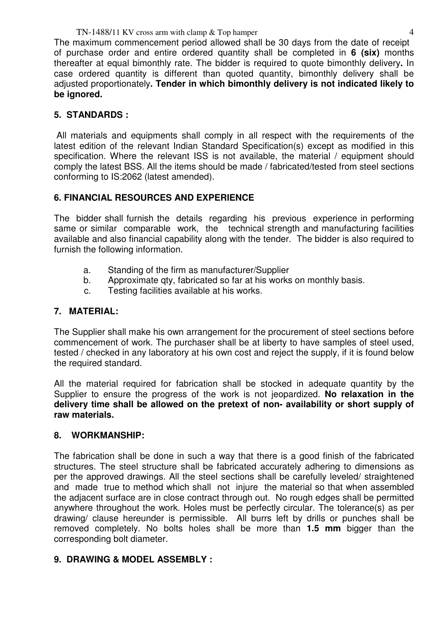The maximum commencement period allowed shall be 30 days from the date of receipt of purchase order and entire ordered quantity shall be completed in **6 (six)** months thereafter at equal bimonthly rate. The bidder is required to quote bimonthly delivery**.** In case ordered quantity is different than quoted quantity, bimonthly delivery shall be adjusted proportionately**. Tender in which bimonthly delivery is not indicated likely to be ignored.**

## **5. STANDARDS :**

All materials and equipments shall comply in all respect with the requirements of the latest edition of the relevant Indian Standard Specification(s) except as modified in this specification. Where the relevant ISS is not available, the material / equipment should comply the latest BSS. All the items should be made / fabricated/tested from steel sections conforming to IS:2062 (latest amended).

## **6. FINANCIAL RESOURCES AND EXPERIENCE**

The bidder shall furnish the details regarding his previous experience in performing same or similar comparable work, the technical strength and manufacturing facilities available and also financial capability along with the tender. The bidder is also required to furnish the following information.

- a. Standing of the firm as manufacturer/Supplier
- b. Approximate qty, fabricated so far at his works on monthly basis.
- c. Testing facilities available at his works.

## **7. MATERIAL:**

The Supplier shall make his own arrangement for the procurement of steel sections before commencement of work. The purchaser shall be at liberty to have samples of steel used, tested / checked in any laboratory at his own cost and reject the supply, if it is found below the required standard.

All the material required for fabrication shall be stocked in adequate quantity by the Supplier to ensure the progress of the work is not jeopardized. **No relaxation in the delivery time shall be allowed on the pretext of non- availability or short supply of raw materials.** 

### **8. WORKMANSHIP:**

The fabrication shall be done in such a way that there is a good finish of the fabricated structures. The steel structure shall be fabricated accurately adhering to dimensions as per the approved drawings. All the steel sections shall be carefully leveled/ straightened and made true to method which shall not injure the material so that when assembled the adjacent surface are in close contract through out. No rough edges shall be permitted anywhere throughout the work. Holes must be perfectly circular. The tolerance(s) as per drawing/ clause hereunder is permissible. All burrs left by drills or punches shall be removed completely. No bolts holes shall be more than **1.5 mm** bigger than the corresponding bolt diameter.

### **9. DRAWING & MODEL ASSEMBLY :**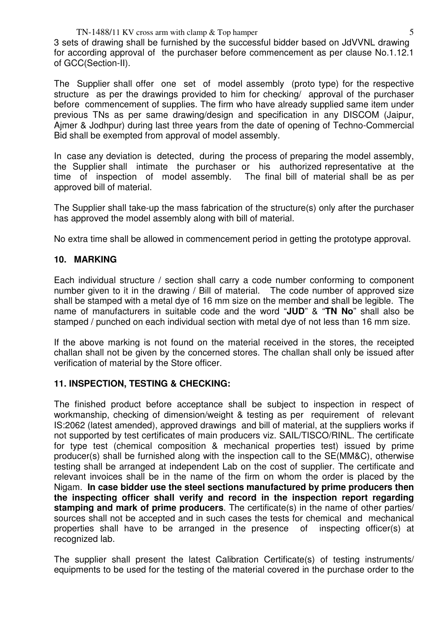3 sets of drawing shall be furnished by the successful bidder based on JdVVNL drawing for according approval of the purchaser before commencement as per clause No.1.12.1 of GCC(Section-II).

The Supplier shall offer one set of model assembly (proto type) for the respective structure as per the drawings provided to him for checking/ approval of the purchaser before commencement of supplies. The firm who have already supplied same item under previous TNs as per same drawing/design and specification in any DISCOM (Jaipur, Ajmer & Jodhpur) during last three years from the date of opening of Techno-Commercial Bid shall be exempted from approval of model assembly.

In case any deviation is detected, during the process of preparing the model assembly, the Supplier shall intimate the purchaser or his authorized representative at the time of inspection of model assembly. The final bill of material shall be as per approved bill of material.

The Supplier shall take-up the mass fabrication of the structure(s) only after the purchaser has approved the model assembly along with bill of material.

No extra time shall be allowed in commencement period in getting the prototype approval.

## **10. MARKING**

Each individual structure / section shall carry a code number conforming to component number given to it in the drawing / Bill of material. The code number of approved size shall be stamped with a metal dye of 16 mm size on the member and shall be legible. The name of manufacturers in suitable code and the word "**JUD**" & "**TN No**" shall also be stamped / punched on each individual section with metal dye of not less than 16 mm size.

If the above marking is not found on the material received in the stores, the receipted challan shall not be given by the concerned stores. The challan shall only be issued after verification of material by the Store officer.

### **11. INSPECTION, TESTING & CHECKING:**

The finished product before acceptance shall be subject to inspection in respect of workmanship, checking of dimension/weight & testing as per requirement of relevant IS:2062 (latest amended), approved drawings and bill of material, at the suppliers works if not supported by test certificates of main producers viz. SAIL/TISCO/RINL. The certificate for type test (chemical composition & mechanical properties test) issued by prime producer(s) shall be furnished along with the inspection call to the SE(MM&C), otherwise testing shall be arranged at independent Lab on the cost of supplier. The certificate and relevant invoices shall be in the name of the firm on whom the order is placed by the Nigam. **In case bidder use the steel sections manufactured by prime producers then the inspecting officer shall verify and record in the inspection report regarding stamping and mark of prime producers**. The certificate(s) in the name of other parties/ sources shall not be accepted and in such cases the tests for chemical and mechanical properties shall have to be arranged in the presence of inspecting officer(s) at recognized lab.

The supplier shall present the latest Calibration Certificate(s) of testing instruments/ equipments to be used for the testing of the material covered in the purchase order to the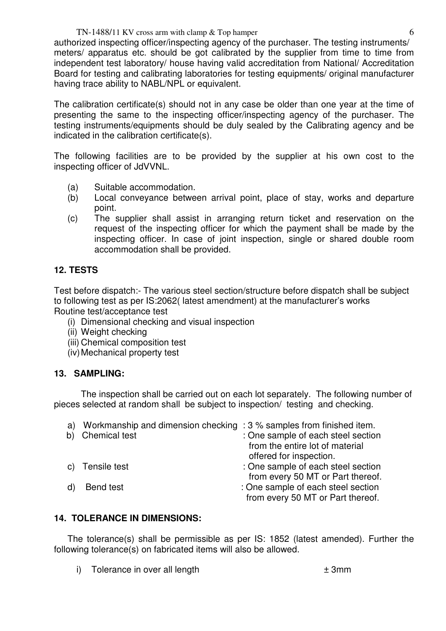#### TN-1488/11 KV cross arm with clamp  $\&$  Top hamper 6

authorized inspecting officer/inspecting agency of the purchaser. The testing instruments/ meters/ apparatus etc. should be got calibrated by the supplier from time to time from independent test laboratory/ house having valid accreditation from National/ Accreditation Board for testing and calibrating laboratories for testing equipments/ original manufacturer having trace ability to NABL/NPL or equivalent.

The calibration certificate(s) should not in any case be older than one year at the time of presenting the same to the inspecting officer/inspecting agency of the purchaser. The testing instruments/equipments should be duly sealed by the Calibrating agency and be indicated in the calibration certificate(s).

The following facilities are to be provided by the supplier at his own cost to the inspecting officer of JdVVNL.

- (a) Suitable accommodation.
- (b) Local conveyance between arrival point, place of stay, works and departure point.
- (c) The supplier shall assist in arranging return ticket and reservation on the request of the inspecting officer for which the payment shall be made by the inspecting officer. In case of joint inspection, single or shared double room accommodation shall be provided.

### **12. TESTS**

Test before dispatch:- The various steel section/structure before dispatch shall be subject to following test as per IS:2062( latest amendment) at the manufacturer's works Routine test/acceptance test

- (i) Dimensional checking and visual inspection
- (ii) Weight checking
- (iii) Chemical composition test
- (iv) Mechanical property test

### **13. SAMPLING:**

The inspection shall be carried out on each lot separately. The following number of pieces selected at random shall be subject to inspection/ testing and checking.

| b) | a) Workmanship and dimension checking : 3 % samples from finished item.<br><b>Chemical test</b> | : One sample of each steel section<br>from the entire lot of material                                        |
|----|-------------------------------------------------------------------------------------------------|--------------------------------------------------------------------------------------------------------------|
|    | c) Tensile test                                                                                 | offered for inspection.<br>: One sample of each steel section                                                |
|    | Bend test                                                                                       | from every 50 MT or Part thereof.<br>: One sample of each steel section<br>from every 50 MT or Part thereof. |

### **14. TOLERANCE IN DIMENSIONS:**

The tolerance(s) shall be permissible as per IS: 1852 (latest amended). Further the following tolerance(s) on fabricated items will also be allowed.

i) Tolerance in over all length  $\pm 3$ mm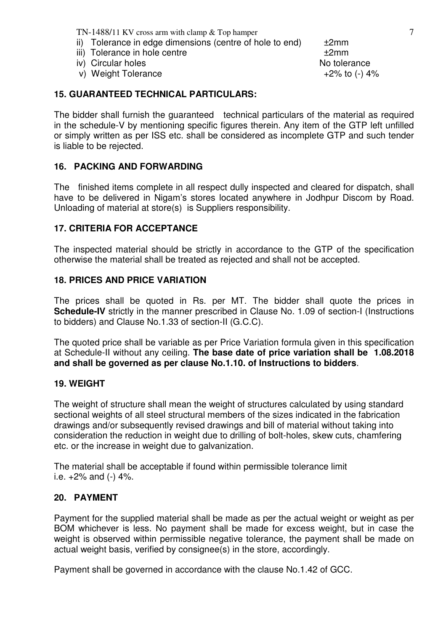- ii) Tolerance in edge dimensions (centre of hole to end)  $±2mm$
- iii) Tolerance in hole centre  $\pm 2$ mm
- iv) Circular holes No tolerance
- v) Weight Tolerance  $+2\%$  to  $(-)$  4%

## **15. GUARANTEED TECHNICAL PARTICULARS:**

The bidder shall furnish the guaranteed technical particulars of the material as required in the schedule-V by mentioning specific figures therein. Any item of the GTP left unfilled or simply written as per ISS etc. shall be considered as incomplete GTP and such tender is liable to be rejected.

### **16. PACKING AND FORWARDING**

The finished items complete in all respect dully inspected and cleared for dispatch, shall have to be delivered in Nigam's stores located anywhere in Jodhpur Discom by Road. Unloading of material at store(s) is Suppliers responsibility.

### **17. CRITERIA FOR ACCEPTANCE**

The inspected material should be strictly in accordance to the GTP of the specification otherwise the material shall be treated as rejected and shall not be accepted.

### **18. PRICES AND PRICE VARIATION**

The prices shall be quoted in Rs. per MT. The bidder shall quote the prices in **Schedule-IV** strictly in the manner prescribed in Clause No. 1.09 of section-I (Instructions to bidders) and Clause No.1.33 of section-II (G.C.C).

The quoted price shall be variable as per Price Variation formula given in this specification at Schedule-II without any ceiling. **The base date of price variation shall be 1.08.2018 and shall be governed as per clause No.1.10. of Instructions to bidders**.

### **19. WEIGHT**

The weight of structure shall mean the weight of structures calculated by using standard sectional weights of all steel structural members of the sizes indicated in the fabrication drawings and/or subsequently revised drawings and bill of material without taking into consideration the reduction in weight due to drilling of bolt-holes, skew cuts, chamfering etc. or the increase in weight due to galvanization.

The material shall be acceptable if found within permissible tolerance limit i.e.  $+2\%$  and  $(-)$  4%.

### **20. PAYMENT**

Payment for the supplied material shall be made as per the actual weight or weight as per BOM whichever is less. No payment shall be made for excess weight, but in case the weight is observed within permissible negative tolerance, the payment shall be made on actual weight basis, verified by consignee(s) in the store, accordingly.

Payment shall be governed in accordance with the clause No.1.42 of GCC.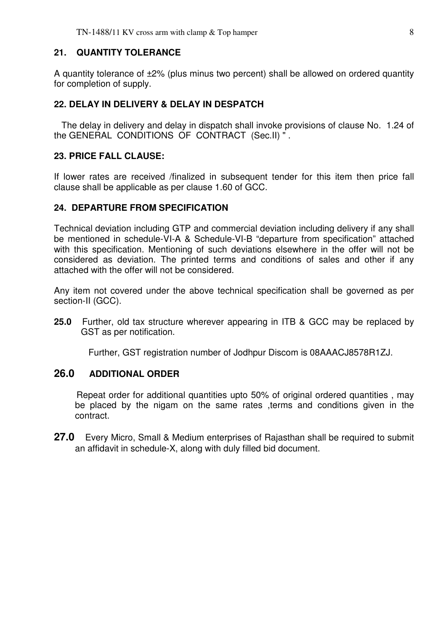### **21. QUANTITY TOLERANCE**

A quantity tolerance of ±2% (plus minus two percent) shall be allowed on ordered quantity for completion of supply.

### **22. DELAY IN DELIVERY & DELAY IN DESPATCH**

 The delay in delivery and delay in dispatch shall invoke provisions of clause No. 1.24 of the GENERAL CONDITIONS OF CONTRACT (Sec.II) " .

#### **23. PRICE FALL CLAUSE:**

If lower rates are received /finalized in subsequent tender for this item then price fall clause shall be applicable as per clause 1.60 of GCC.

#### **24. DEPARTURE FROM SPECIFICATION**

Technical deviation including GTP and commercial deviation including delivery if any shall be mentioned in schedule-VI-A & Schedule-VI-B "departure from specification" attached with this specification. Mentioning of such deviations elsewhere in the offer will not be considered as deviation. The printed terms and conditions of sales and other if any attached with the offer will not be considered.

Any item not covered under the above technical specification shall be governed as per section-II (GCC).

**25.0** Further, old tax structure wherever appearing in ITB & GCC may be replaced by GST as per notification.

Further, GST registration number of Jodhpur Discom is 08AAACJ8578R1ZJ.

### **26.0 ADDITIONAL ORDER**

 Repeat order for additional quantities upto 50% of original ordered quantities , may be placed by the nigam on the same rates ,terms and conditions given in the contract.

**27.0** Every Micro, Small & Medium enterprises of Rajasthan shall be required to submit an affidavit in schedule-X, along with duly filled bid document.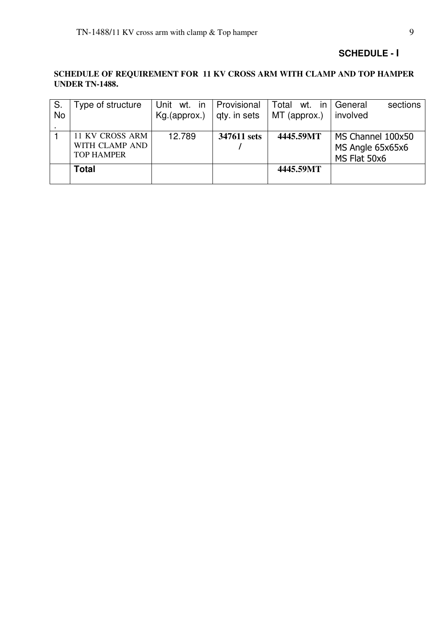### **SCHEDULE - I**

### **SCHEDULE OF REQUIREMENT FOR 11 KV CROSS ARM WITH CLAMP AND TOP HAMPER UNDER TN-1488.**

| S.        | Type of structure | Unit wt. in  | Provisional  | Total<br>in<br>wt. | sections<br>General |
|-----------|-------------------|--------------|--------------|--------------------|---------------------|
| <b>No</b> |                   | Kg.(approx.) | qty. in sets | MT (approx.)       | involved            |
|           |                   |              |              |                    |                     |
|           | 11 KV CROSS ARM   | 12.789       | 347611 sets  | 4445.59MT          | MS Channel 100x50   |
|           | WITH CLAMP AND    |              |              |                    | MS Angle 65x65x6    |
|           | <b>TOP HAMPER</b> |              |              |                    | MS Flat 50x6        |
|           | <b>Total</b>      |              |              | 4445.59MT          |                     |
|           |                   |              |              |                    |                     |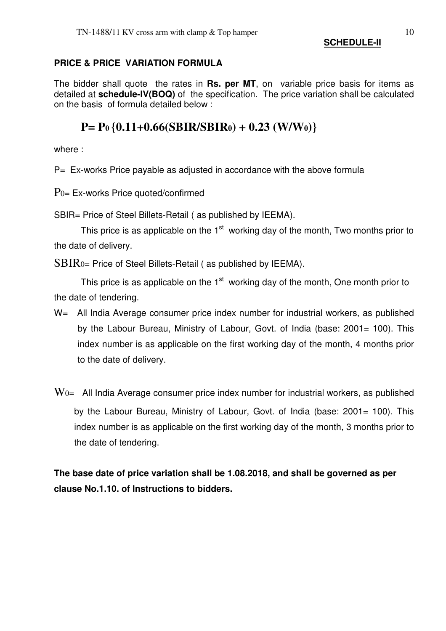### **SCHEDULE-II**

### **PRICE & PRICE VARIATION FORMULA**

The bidder shall quote the rates in **Rs. per MT**, on variable price basis for items as detailed at **schedule-IV(BOQ)** of the specification. The price variation shall be calculated on the basis of formula detailed below :

# **P= P0 {0.11+0.66(SBIR/SBIR0) + 0.23 (W/W0)}**

where :

 $P=$  Ex-works Price payable as adjusted in accordance with the above formula

 $P_{0=}$  Ex-works Price quoted/confirmed

SBIR= Price of Steel Billets-Retail ( as published by IEEMA).

This price is as applicable on the  $1<sup>st</sup>$  working day of the month, Two months prior to the date of delivery.

SBIR0= Price of Steel Billets-Retail ( as published by IEEMA).

This price is as applicable on the  $1<sup>st</sup>$  working day of the month, One month prior to the date of tendering.

- W= All India Average consumer price index number for industrial workers, as published by the Labour Bureau, Ministry of Labour, Govt. of India (base: 2001= 100). This index number is as applicable on the first working day of the month, 4 months prior to the date of delivery.
- $\rm{W_{0=}}$  All India Average consumer price index number for industrial workers, as published by the Labour Bureau, Ministry of Labour, Govt. of India (base: 2001= 100). This index number is as applicable on the first working day of the month, 3 months prior to the date of tendering.

**The base date of price variation shall be 1.08.2018, and shall be governed as per clause No.1.10. of Instructions to bidders.**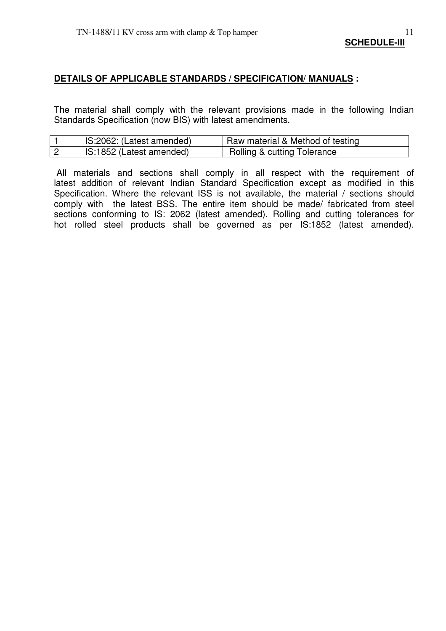#### **DETAILS OF APPLICABLE STANDARDS / SPECIFICATION/ MANUALS :**

The material shall comply with the relevant provisions made in the following Indian Standards Specification (now BIS) with latest amendments.

| IS:2062: (Latest amended) | Raw material & Method of testing       |
|---------------------------|----------------------------------------|
| IS:1852 (Latest amended)  | <b>Rolling &amp; cutting Tolerance</b> |

 All materials and sections shall comply in all respect with the requirement of latest addition of relevant Indian Standard Specification except as modified in this Specification. Where the relevant ISS is not available, the material / sections should comply with the latest BSS. The entire item should be made/ fabricated from steel sections conforming to IS: 2062 (latest amended). Rolling and cutting tolerances for hot rolled steel products shall be governed as per IS:1852 (latest amended).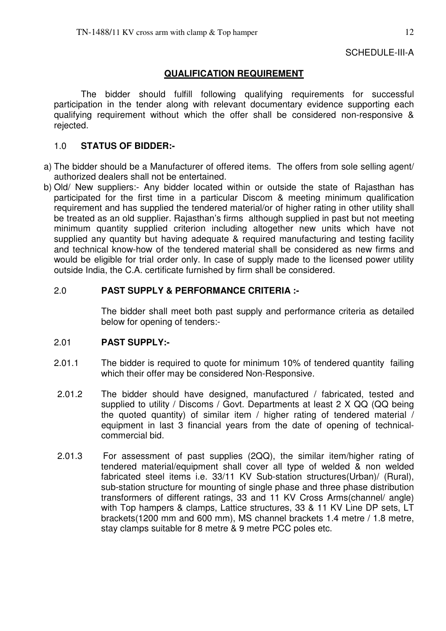## SCHEDULE-III-A

## **QUALIFICATION REQUIREMENT**

The bidder should fulfill following qualifying requirements for successful participation in the tender along with relevant documentary evidence supporting each qualifying requirement without which the offer shall be considered non-responsive & rejected.

### 1.0 **STATUS OF BIDDER:-**

- a) The bidder should be a Manufacturer of offered items. The offers from sole selling agent/ authorized dealers shall not be entertained.
- b) Old/ New suppliers:- Any bidder located within or outside the state of Rajasthan has participated for the first time in a particular Discom & meeting minimum qualification requirement and has supplied the tendered material/or of higher rating in other utility shall be treated as an old supplier. Rajasthan's firms although supplied in past but not meeting minimum quantity supplied criterion including altogether new units which have not supplied any quantity but having adequate & required manufacturing and testing facility and technical know-how of the tendered material shall be considered as new firms and would be eligible for trial order only. In case of supply made to the licensed power utility outside India, the C.A. certificate furnished by firm shall be considered.

### 2.0 **PAST SUPPLY & PERFORMANCE CRITERIA :-**

 The bidder shall meet both past supply and performance criteria as detailed below for opening of tenders:-

### 2.01 **PAST SUPPLY:-**

- 2.01.1 The bidder is required to quote for minimum 10% of tendered quantity failing which their offer may be considered Non-Responsive.
- 2.01.2 The bidder should have designed, manufactured / fabricated, tested and supplied to utility / Discoms / Govt. Departments at least 2 X QQ (QQ being the quoted quantity) of similar item / higher rating of tendered material  $\overline{I}$ equipment in last 3 financial years from the date of opening of technicalcommercial bid.
- 2.01.3 For assessment of past supplies (2QQ), the similar item/higher rating of tendered material/equipment shall cover all type of welded & non welded fabricated steel items i.e. 33/11 KV Sub-station structures(Urban)/ (Rural), sub-station structure for mounting of single phase and three phase distribution transformers of different ratings, 33 and 11 KV Cross Arms(channel/ angle) with Top hampers & clamps, Lattice structures, 33 & 11 KV Line DP sets, LT brackets(1200 mm and 600 mm), MS channel brackets 1.4 metre / 1.8 metre, stay clamps suitable for 8 metre & 9 metre PCC poles etc.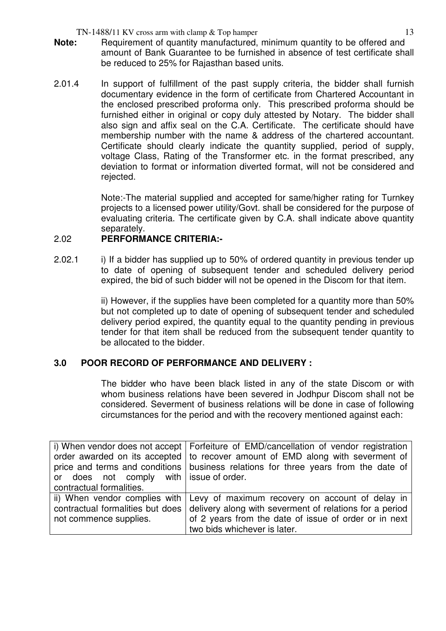$TN-1488/11$  KV cross arm with clamp  $\&$  Top hamper 13

- **Note:** Requirement of quantity manufactured, minimum quantity to be offered and amount of Bank Guarantee to be furnished in absence of test certificate shall be reduced to 25% for Rajasthan based units.
- 2.01.4 In support of fulfillment of the past supply criteria, the bidder shall furnish documentary evidence in the form of certificate from Chartered Accountant in the enclosed prescribed proforma only. This prescribed proforma should be furnished either in original or copy duly attested by Notary. The bidder shall also sign and affix seal on the C.A. Certificate. The certificate should have membership number with the name & address of the chartered accountant. Certificate should clearly indicate the quantity supplied, period of supply, voltage Class, Rating of the Transformer etc. in the format prescribed, any deviation to format or information diverted format, will not be considered and rejected.

Note:-The material supplied and accepted for same/higher rating for Turnkey projects to a licensed power utility/Govt. shall be considered for the purpose of evaluating criteria. The certificate given by C.A. shall indicate above quantity separately.

### 2.02 **PERFORMANCE CRITERIA:-**

2.02.1 i) If a bidder has supplied up to 50% of ordered quantity in previous tender up to date of opening of subsequent tender and scheduled delivery period expired, the bid of such bidder will not be opened in the Discom for that item.

> ii) However, if the supplies have been completed for a quantity more than 50% but not completed up to date of opening of subsequent tender and scheduled delivery period expired, the quantity equal to the quantity pending in previous tender for that item shall be reduced from the subsequent tender quantity to be allocated to the bidder.

### **3.0 POOR RECORD OF PERFORMANCE AND DELIVERY :**

The bidder who have been black listed in any of the state Discom or with whom business relations have been severed in Jodhpur Discom shall not be considered. Severment of business relations will be done in case of following circumstances for the period and with the recovery mentioned against each:

|                                         | i) When vendor does not accept   Forfeiture of EMD/cancellation of vendor registration |
|-----------------------------------------|----------------------------------------------------------------------------------------|
|                                         | order awarded on its accepted   to recover amount of EMD along with severment of       |
|                                         | price and terms and conditions   business relations for three years from the date of   |
| or does not comply with issue of order. |                                                                                        |
| contractual formalities.                |                                                                                        |
|                                         | ii) When vendor complies with Levy of maximum recovery on account of delay in          |
| contractual formalities but does        | delivery along with severment of relations for a period                                |
| not commence supplies.                  | of 2 years from the date of issue of order or in next                                  |
|                                         | two bids whichever is later.                                                           |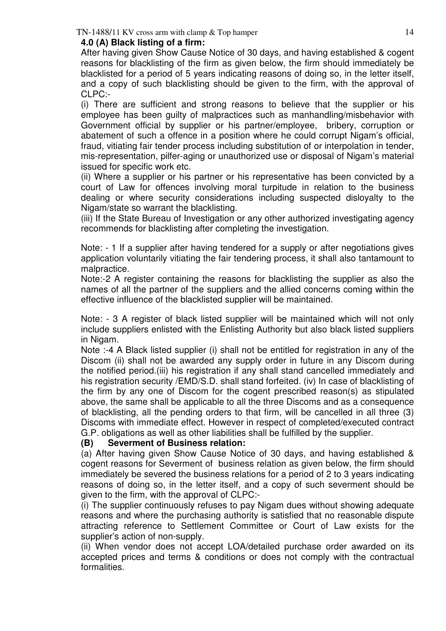### **4.0 (A) Black listing of a firm:**

After having given Show Cause Notice of 30 days, and having established & cogent reasons for blacklisting of the firm as given below, the firm should immediately be blacklisted for a period of 5 years indicating reasons of doing so, in the letter itself, and a copy of such blacklisting should be given to the firm, with the approval of CLPC:-

(i) There are sufficient and strong reasons to believe that the supplier or his employee has been guilty of malpractices such as manhandling/misbehavior with Government official by supplier or his partner/employee, bribery, corruption or abatement of such a offence in a position where he could corrupt Nigam's official, fraud, vitiating fair tender process including substitution of or interpolation in tender, mis-representation, pilfer-aging or unauthorized use or disposal of Nigam's material issued for specific work etc.

(ii) Where a supplier or his partner or his representative has been convicted by a court of Law for offences involving moral turpitude in relation to the business dealing or where security considerations including suspected disloyalty to the Nigam/state so warrant the blacklisting.

(iii) If the State Bureau of Investigation or any other authorized investigating agency recommends for blacklisting after completing the investigation.

Note: - 1 If a supplier after having tendered for a supply or after negotiations gives application voluntarily vitiating the fair tendering process, it shall also tantamount to malpractice.

Note:-2 A register containing the reasons for blacklisting the supplier as also the names of all the partner of the suppliers and the allied concerns coming within the effective influence of the blacklisted supplier will be maintained.

Note: - 3 A register of black listed supplier will be maintained which will not only include suppliers enlisted with the Enlisting Authority but also black listed suppliers in Nigam.

Note :-4 A Black listed supplier (i) shall not be entitled for registration in any of the Discom (ii) shall not be awarded any supply order in future in any Discom during the notified period.(iii) his registration if any shall stand cancelled immediately and his registration security /EMD/S.D. shall stand forfeited. (iv) In case of blacklisting of the firm by any one of Discom for the cogent prescribed reason(s) as stipulated above, the same shall be applicable to all the three Discoms and as a consequence of blacklisting, all the pending orders to that firm, will be cancelled in all three (3) Discoms with immediate effect. However in respect of completed/executed contract G.P. obligations as well as other liabilities shall be fulfilled by the supplier.

### **(B) Severment of Business relation:**

(a) After having given Show Cause Notice of 30 days, and having established & cogent reasons for Severment of business relation as given below, the firm should immediately be severed the business relations for a period of 2 to 3 years indicating reasons of doing so, in the letter itself, and a copy of such severment should be given to the firm, with the approval of CLPC:-

(i) The supplier continuously refuses to pay Nigam dues without showing adequate reasons and where the purchasing authority is satisfied that no reasonable dispute attracting reference to Settlement Committee or Court of Law exists for the supplier's action of non-supply.

(ii) When vendor does not accept LOA/detailed purchase order awarded on its accepted prices and terms & conditions or does not comply with the contractual formalities.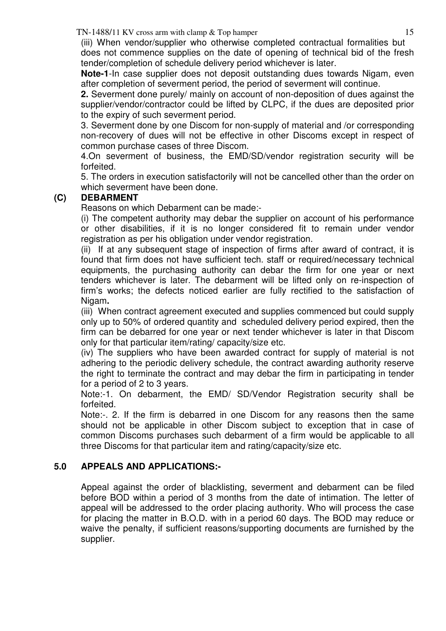$TN-1488/11$  KV cross arm with clamp  $\&$  Top hamper 15

(iii) When vendor/supplier who otherwise completed contractual formalities but does not commence supplies on the date of opening of technical bid of the fresh tender/completion of schedule delivery period whichever is later.

**Note-1**-In case supplier does not deposit outstanding dues towards Nigam, even after completion of severment period, the period of severment will continue.

**2.** Severment done purely/ mainly on account of non-deposition of dues against the supplier/vendor/contractor could be lifted by CLPC, if the dues are deposited prior to the expiry of such severment period.

3. Severment done by one Discom for non-supply of material and /or corresponding non-recovery of dues will not be effective in other Discoms except in respect of common purchase cases of three Discom.

4.On severment of business, the EMD/SD/vendor registration security will be forfeited.

5. The orders in execution satisfactorily will not be cancelled other than the order on which severment have been done.

## **(C) DEBARMENT**

Reasons on which Debarment can be made:-

(i) The competent authority may debar the supplier on account of his performance or other disabilities, if it is no longer considered fit to remain under vendor registration as per his obligation under vendor registration.

(ii) If at any subsequent stage of inspection of firms after award of contract, it is found that firm does not have sufficient tech. staff or required/necessary technical equipments, the purchasing authority can debar the firm for one year or next tenders whichever is later. The debarment will be lifted only on re-inspection of firm's works; the defects noticed earlier are fully rectified to the satisfaction of Nigam**.** 

(iii) When contract agreement executed and supplies commenced but could supply only up to 50% of ordered quantity and scheduled delivery period expired, then the firm can be debarred for one year or next tender whichever is later in that Discom only for that particular item/rating/ capacity/size etc.

(iv) The suppliers who have been awarded contract for supply of material is not adhering to the periodic delivery schedule, the contract awarding authority reserve the right to terminate the contract and may debar the firm in participating in tender for a period of 2 to 3 years.

Note:-1. On debarment, the EMD/ SD/Vendor Registration security shall be forfeited.

Note:-. 2. If the firm is debarred in one Discom for any reasons then the same should not be applicable in other Discom subject to exception that in case of common Discoms purchases such debarment of a firm would be applicable to all three Discoms for that particular item and rating/capacity/size etc.

## **5.0 APPEALS AND APPLICATIONS:-**

Appeal against the order of blacklisting, severment and debarment can be filed before BOD within a period of 3 months from the date of intimation. The letter of appeal will be addressed to the order placing authority. Who will process the case for placing the matter in B.O.D. with in a period 60 days. The BOD may reduce or waive the penalty, if sufficient reasons/supporting documents are furnished by the supplier.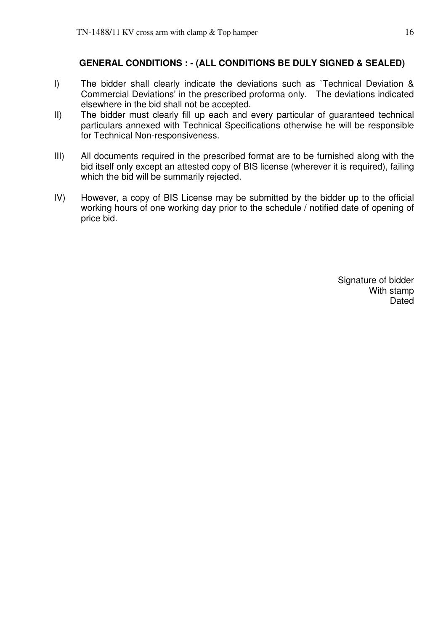### **GENERAL CONDITIONS : - (ALL CONDITIONS BE DULY SIGNED & SEALED)**

- I) The bidder shall clearly indicate the deviations such as `Technical Deviation & Commercial Deviations' in the prescribed proforma only. The deviations indicated elsewhere in the bid shall not be accepted.
- II) The bidder must clearly fill up each and every particular of guaranteed technical particulars annexed with Technical Specifications otherwise he will be responsible for Technical Non-responsiveness.
- III) All documents required in the prescribed format are to be furnished along with the bid itself only except an attested copy of BIS license (wherever it is required), failing which the bid will be summarily rejected.
- IV) However, a copy of BIS License may be submitted by the bidder up to the official working hours of one working day prior to the schedule / notified date of opening of price bid.

Signature of bidder With stamp Dated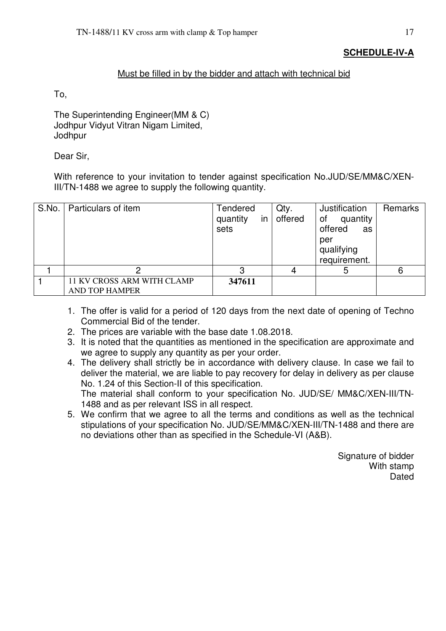### **SCHEDULE-IV-A**

### Must be filled in by the bidder and attach with technical bid

To,

The Superintending Engineer(MM & C) Jodhpur Vidyut Vitran Nigam Limited, **Jodhpur** 

Dear Sir,

With reference to your invitation to tender against specification No.JUD/SE/MM&C/XEN-III/TN-1488 we agree to supply the following quantity.

| S.No.   Particulars of item                         | Tendered<br>in<br>quantity<br>sets | Qty.<br>offered | Justification<br>quantity<br>of<br>offered<br>as<br>per<br>qualifying<br>requirement. | Remarks |
|-----------------------------------------------------|------------------------------------|-----------------|---------------------------------------------------------------------------------------|---------|
|                                                     |                                    |                 | ხ                                                                                     | 6       |
| 11 KV CROSS ARM WITH CLAMP<br><b>AND TOP HAMPER</b> | 347611                             |                 |                                                                                       |         |

- 1. The offer is valid for a period of 120 days from the next date of opening of Techno Commercial Bid of the tender.
- 2. The prices are variable with the base date 1.08.2018.
- 3. It is noted that the quantities as mentioned in the specification are approximate and we agree to supply any quantity as per your order.
- 4. The delivery shall strictly be in accordance with delivery clause. In case we fail to deliver the material, we are liable to pay recovery for delay in delivery as per clause No. 1.24 of this Section-II of this specification. The material shall conform to your specification No. JUD/SE/ MM&C/XEN-III/TN-1488 and as per relevant ISS in all respect.
- 5. We confirm that we agree to all the terms and conditions as well as the technical stipulations of your specification No. JUD/SE/MM&C/XEN-III/TN-1488 and there are no deviations other than as specified in the Schedule-VI (A&B).

Signature of bidder With stamp Dated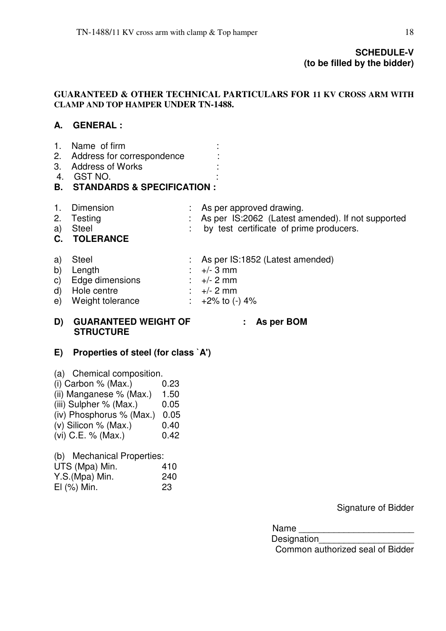### **SCHEDULE-V (to be filled by the bidder)**

### **GUARANTEED & OTHER TECHNICAL PARTICULARS FOR 11 KV CROSS ARM WITH CLAMP AND TOP HAMPER UNDER TN-1488.**

## **A. GENERAL :**

- 1. Name of firm :
- 2. Address for correspondence :
- 3. Address of Works
- 4. GST NO. :
- **B. STANDARDS & SPECIFICATION :**
- 1. Dimension : As per approved drawing.
- 2. Testing **Example 2.** As per IS:2062 (Latest amended). If not supported
- 
- 
- **C. TOLERANCE**
- a) Steel : by test certificate of prime producers.
- a) Steel : As per IS:1852 (Latest amended)
- b) Length  $\therefore$   $+/- 3$  mm
- c) Edge dimensions :  $+/- 2$  mm
- d) Hole centre  $\therefore$   $+/- 2$  mm
- e) Weight tolerance  $\therefore$  +2% to  $(-)$  4%

#### **D) GUARANTEED WEIGHT OF : As per BOM STRUCTURE**

## **E) Properties of steel (for class `A')**

- (a) Chemical composition.
- $(i)$  Carbon % (Max.)  $0.23$
- (ii) Manganese  $%$  (Max.) 1.50
- $(iii)$  Sulpher % (Max.)  $0.05$
- (iv) Phosphorus % (Max.) 0.05
- (v) Silicon % (Max.)  $0.40$
- (vi) C.E. % (Max.) 0.42

(b) Mechanical Properties:

| UTS (Mpa) Min.   | 410 |
|------------------|-----|
| Y.S.(Mpa) Min.   | 240 |
| $El$ $(\%)$ Min. | -23 |

Signature of Bidder

Name **with a set of the set of the set of the set of the set of the set of the set of the set of the set of the set of the set of the set of the set of the set of the set of the set of the set of the set of the set of the** 

Designation\_\_\_\_\_\_\_\_\_\_\_\_\_\_\_\_\_\_\_ Common authorized seal of Bidder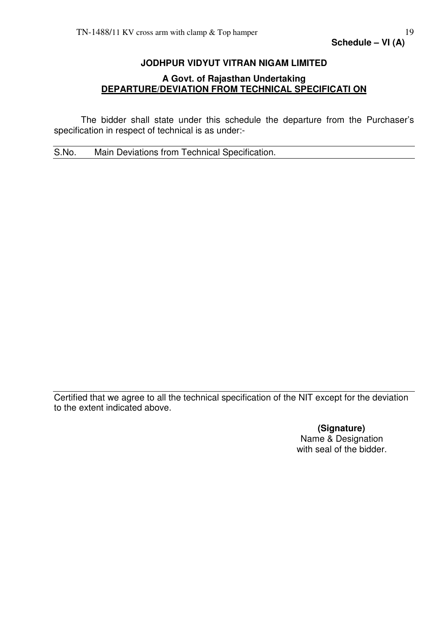### **JODHPUR VIDYUT VITRAN NIGAM LIMITED**

### **A Govt. of Rajasthan Undertaking DEPARTURE/DEVIATION FROM TECHNICAL SPECIFICATI ON**

 The bidder shall state under this schedule the departure from the Purchaser's specification in respect of technical is as under:-

S.No. Main Deviations from Technical Specification.

Certified that we agree to all the technical specification of the NIT except for the deviation to the extent indicated above.

> **(Signature)**  Name & Designation with seal of the bidder.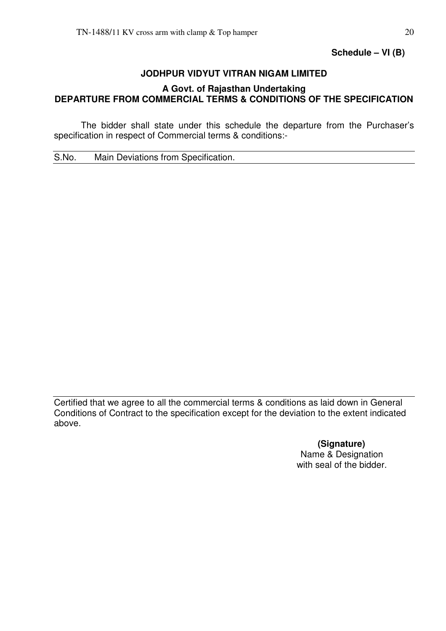**Schedule – VI (B)** 

## **JODHPUR VIDYUT VITRAN NIGAM LIMITED**

### **A Govt. of Rajasthan Undertaking DEPARTURE FROM COMMERCIAL TERMS & CONDITIONS OF THE SPECIFICATION**

 The bidder shall state under this schedule the departure from the Purchaser's specification in respect of Commercial terms & conditions:-

S.No. Main Deviations from Specification.

Certified that we agree to all the commercial terms & conditions as laid down in General Conditions of Contract to the specification except for the deviation to the extent indicated above.

> **(Signature)**  Name & Designation with seal of the bidder.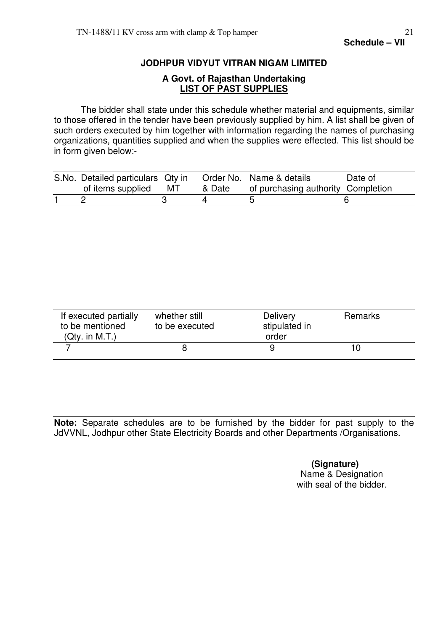### **JODHPUR VIDYUT VITRAN NIGAM LIMITED**

## **A Govt. of Rajasthan Undertaking LIST OF PAST SUPPLIES**

 The bidder shall state under this schedule whether material and equipments, similar to those offered in the tender have been previously supplied by him. A list shall be given of such orders executed by him together with information regarding the names of purchasing organizations, quantities supplied and when the supplies were effected. This list should be in form given below:-

| S.No. Detailed particulars Qty in |    |        | Order No. Name & details           | Date of |
|-----------------------------------|----|--------|------------------------------------|---------|
| of items supplied                 | МT | & Date | of purchasing authority Completion |         |
|                                   |    |        |                                    |         |

| If executed partially<br>to be mentioned<br>(Qty. in M.T.) | whether still<br>to be executed | <b>Delivery</b><br>stipulated in<br>order | Remarks |  |
|------------------------------------------------------------|---------------------------------|-------------------------------------------|---------|--|
|                                                            |                                 |                                           |         |  |

**Note:** Separate schedules are to be furnished by the bidder for past supply to the JdVVNL, Jodhpur other State Electricity Boards and other Departments /Organisations.

> **(Signature)**  Name & Designation with seal of the bidder.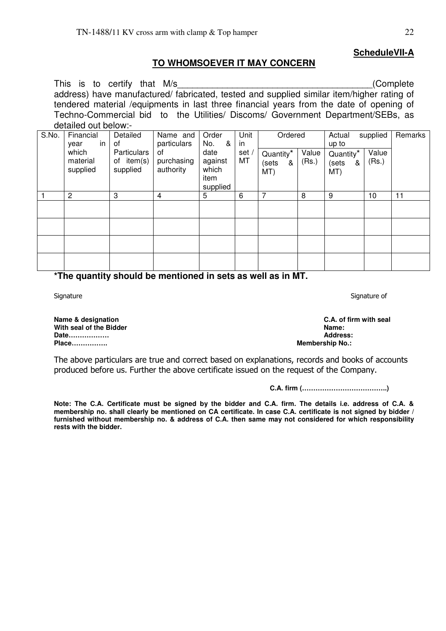### **TO WHOMSOEVER IT MAY CONCERN**

This is to certify that M/s (Complete address) have manufactured/ fabricated, tested and supplied similar item/higher rating of tendered material /equipments in last three financial years from the date of opening of Techno-Commercial bid to the Utilities/ Discoms/ Government Department/SEBs, as detailed out below:-

| aotanoa oat boiotri |                               |                                       |                               |                                              |            |                                |                |                                            |                |         |
|---------------------|-------------------------------|---------------------------------------|-------------------------------|----------------------------------------------|------------|--------------------------------|----------------|--------------------------------------------|----------------|---------|
| S.No.               | Financial<br>in<br>year       | Detailed<br>0f                        | Name and<br>particulars       | Order<br>No.<br>&                            | Unit<br>in | Ordered                        |                | Actual<br>up to                            | supplied       | Remarks |
|                     | which<br>material<br>supplied | Particulars<br>of item(s)<br>supplied | 0f<br>purchasing<br>authority | date<br>against<br>which<br>item<br>supplied | set<br>MT  | Quantity*<br>(sets<br>&<br>MT) | Value<br>(Rs.) | Quantity <sup>*</sup><br>&<br>(sets<br>MT) | Value<br>(Rs.) |         |
|                     | 2                             | 3                                     | 4                             | 5                                            | 6          | 7                              | 8              | 9                                          | 10             | 11      |
|                     |                               |                                       |                               |                                              |            |                                |                |                                            |                |         |
|                     |                               |                                       |                               |                                              |            |                                |                |                                            |                |         |
|                     |                               |                                       |                               |                                              |            |                                |                |                                            |                |         |
|                     |                               |                                       |                               |                                              |            |                                |                |                                            |                |         |
|                     |                               |                                       |                               |                                              |            |                                |                |                                            |                |         |

**\*The quantity should be mentioned in sets as well as in MT.** 

**Name & designation C.A. of firm with seal**  With seal of the Bidder **Name: Name: Name: Name: Name: Name: Name: Address: Date................. Place……………. Membership No.:** 

The above particulars are true and correct based on explanations, records and books of accounts produced before us. Further the above certificate issued on the request of the Company.

**C.A. firm (………………………………..)** 

**Note: The C.A. Certificate must be signed by the bidder and C.A. firm. The details i.e. address of C.A. & membership no. shall clearly be mentioned on CA certificate. In case C.A. certificate is not signed by bidder / furnished without membership no. & address of C.A. then same may not considered for which responsibility rests with the bidder.** 

Signature Signature Signature of the Signature of the Signature of Signature of Signature of Signature of the Signature of the Signature of Signature of Signature of the Signature of the Signature of the Signature of the S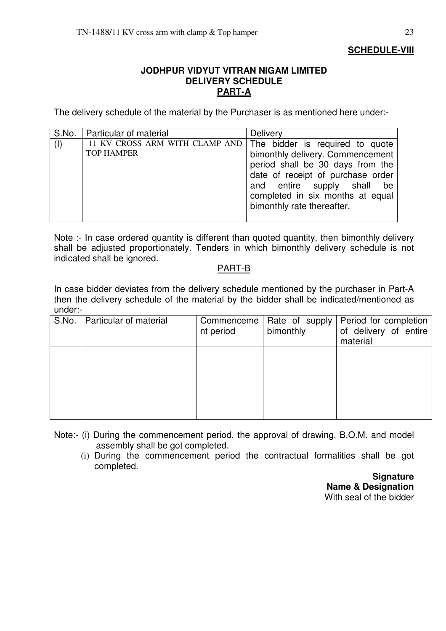### **JODHPUR VIDYUT VITRAN NIGAM LIMITED DELIVERY SCHEDULE PART-A**

The delivery schedule of the material by the Purchaser is as mentioned here under:-

| S.No. | <b>Particular of material</b>                       | <b>Delivery</b>                                                                                                                                                                                                                                 |
|-------|-----------------------------------------------------|-------------------------------------------------------------------------------------------------------------------------------------------------------------------------------------------------------------------------------------------------|
| (1)   | 11 KV CROSS ARM WITH CLAMP AND<br><b>TOP HAMPER</b> | The bidder is required to quote<br>bimonthly delivery. Commencement<br>period shall be 30 days from the<br>date of receipt of purchase order<br>and entire supply shall<br>be<br>completed in six months at equal<br>bimonthly rate thereafter. |
|       |                                                     |                                                                                                                                                                                                                                                 |

Note :- In case ordered quantity is different than quoted quantity, then bimonthly delivery shall be adjusted proportionately. Tenders in which bimonthly delivery schedule is not indicated shall be ignored.

### PART-B

In case bidder deviates from the delivery schedule mentioned by the purchaser in Part-A then the delivery schedule of the material by the bidder shall be indicated/mentioned as under:-

| S.No. | Particular of material | Commenceme<br>nt period | Rate of supply<br>bimonthly | Period for completion<br>of delivery of entire<br>material |
|-------|------------------------|-------------------------|-----------------------------|------------------------------------------------------------|
|       |                        |                         |                             |                                                            |
|       |                        |                         |                             |                                                            |

- Note:- (i) During the commencement period, the approval of drawing, B.O.M. and model assembly shall be got completed.
	- (i) During the commencement period the contractual formalities shall be got completed.

**Signature Name & Designation**  With seal of the bidder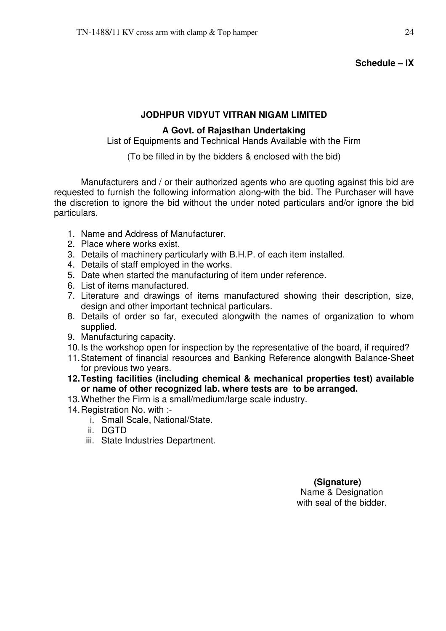#### **Schedule – IX**

#### **JODHPUR VIDYUT VITRAN NIGAM LIMITED**

#### **A Govt. of Rajasthan Undertaking**

List of Equipments and Technical Hands Available with the Firm

(To be filled in by the bidders & enclosed with the bid)

 Manufacturers and / or their authorized agents who are quoting against this bid are requested to furnish the following information along-with the bid. The Purchaser will have the discretion to ignore the bid without the under noted particulars and/or ignore the bid particulars.

- 1. Name and Address of Manufacturer.
- 2. Place where works exist.
- 3. Details of machinery particularly with B.H.P. of each item installed.
- 4. Details of staff employed in the works.
- 5. Date when started the manufacturing of item under reference.
- 6. List of items manufactured.
- 7. Literature and drawings of items manufactured showing their description, size, design and other important technical particulars.
- 8. Details of order so far, executed alongwith the names of organization to whom supplied.
- 9. Manufacturing capacity.
- 10. Is the workshop open for inspection by the representative of the board, if required?
- 11. Statement of financial resources and Banking Reference alongwith Balance-Sheet for previous two years.
- **12. Testing facilities (including chemical & mechanical properties test) available or name of other recognized lab. where tests are to be arranged.**
- 13. Whether the Firm is a small/medium/large scale industry.
- 14. Registration No. with :
	- i. Small Scale, National/State.
	- ii. DGTD
	- iii. State Industries Department.

#### **(Signature)**  Name & Designation

with seal of the bidder.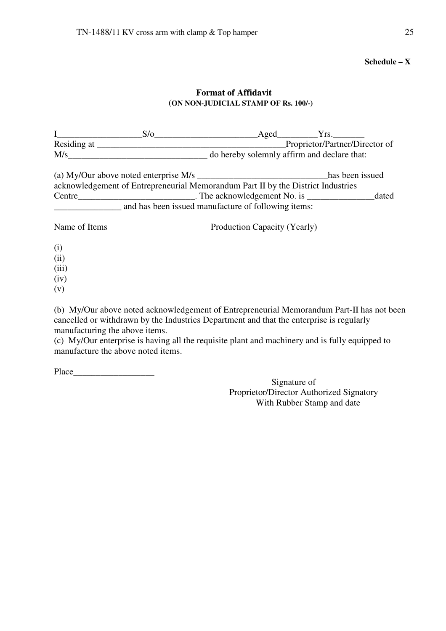**Schedule – X** 

### **Format of Affidavit**  (**ON NON-JUDICIAL STAMP OF Rs. 100/-)**

|               | S/O                                                                              | Aged                         | Yrs.                           |       |  |  |
|---------------|----------------------------------------------------------------------------------|------------------------------|--------------------------------|-------|--|--|
|               |                                                                                  |                              | Proprietor/Partner/Director of |       |  |  |
|               |                                                                                  |                              |                                |       |  |  |
|               |                                                                                  |                              | has been issued                |       |  |  |
|               | acknowledgement of Entrepreneurial Memorandum Part II by the District Industries |                              |                                |       |  |  |
|               |                                                                                  |                              |                                | dated |  |  |
|               | and has been issued manufacture of following items:                              |                              |                                |       |  |  |
| Name of Items |                                                                                  | Production Capacity (Yearly) |                                |       |  |  |
| (i)           |                                                                                  |                              |                                |       |  |  |
| (ii)          |                                                                                  |                              |                                |       |  |  |
| (iii)         |                                                                                  |                              |                                |       |  |  |
| (iv)          |                                                                                  |                              |                                |       |  |  |
| (v)           |                                                                                  |                              |                                |       |  |  |

(b) My/Our above noted acknowledgement of Entrepreneurial Memorandum Part-II has not been cancelled or withdrawn by the Industries Department and that the enterprise is regularly manufacturing the above items.

(c) My/Our enterprise is having all the requisite plant and machinery and is fully equipped to manufacture the above noted items.

Place  $\Box$ 

Signature of Proprietor/Director Authorized Signatory With Rubber Stamp and date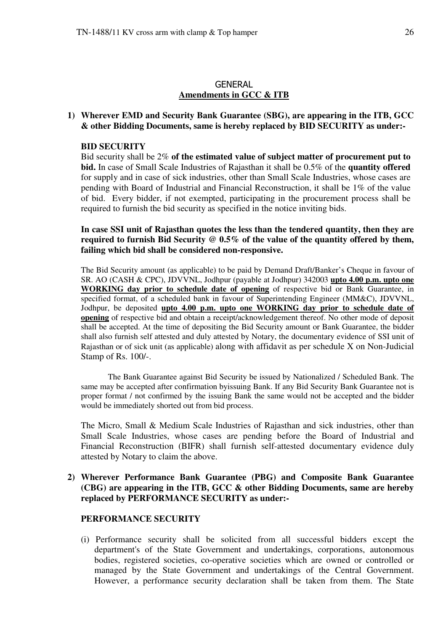#### GENERAL **Amendments in GCC & ITB**

#### **1) Wherever EMD and Security Bank Guarantee (SBG), are appearing in the ITB, GCC & other Bidding Documents, same is hereby replaced by BID SECURITY as under:-**

#### **BID SECURITY**

Bid security shall be 2% **of the estimated value of subject matter of procurement put to bid.** In case of Small Scale Industries of Rajasthan it shall be 0.5% of the **quantity offered** for supply and in case of sick industries, other than Small Scale Industries, whose cases are pending with Board of Industrial and Financial Reconstruction, it shall be 1% of the value of bid. Every bidder, if not exempted, participating in the procurement process shall be required to furnish the bid security as specified in the notice inviting bids.

**In case SSI unit of Rajasthan quotes the less than the tendered quantity, then they are required to furnish Bid Security @ 0.5% of the value of the quantity offered by them, failing which bid shall be considered non-responsive.** 

The Bid Security amount (as applicable) to be paid by Demand Draft/Banker's Cheque in favour of SR. AO (CASH & CPC), JDVVNL, Jodhpur (payable at Jodhpur) 342003 **upto 4.00 p.m. upto one WORKING day prior to schedule date of opening** of respective bid or Bank Guarantee, in specified format, of a scheduled bank in favour of Superintending Engineer (MM&C), JDVVNL, Jodhpur, be deposited **upto 4.00 p.m. upto one WORKING day prior to schedule date of opening** of respective bid and obtain a receipt/acknowledgement thereof. No other mode of deposit shall be accepted. At the time of depositing the Bid Security amount or Bank Guarantee, the bidder shall also furnish self attested and duly attested by Notary, the documentary evidence of SSI unit of Rajasthan or of sick unit (as applicable) along with affidavit as per schedule X on Non-Judicial Stamp of Rs. 100/-.

The Bank Guarantee against Bid Security be issued by Nationalized / Scheduled Bank. The same may be accepted after confirmation byissuing Bank. If any Bid Security Bank Guarantee not is proper format / not confirmed by the issuing Bank the same would not be accepted and the bidder would be immediately shorted out from bid process.

The Micro, Small & Medium Scale Industries of Rajasthan and sick industries, other than Small Scale Industries, whose cases are pending before the Board of Industrial and Financial Reconstruction (BIFR) shall furnish self-attested documentary evidence duly attested by Notary to claim the above.

#### **2) Wherever Performance Bank Guarantee (PBG) and Composite Bank Guarantee (CBG) are appearing in the ITB, GCC & other Bidding Documents, same are hereby replaced by PERFORMANCE SECURITY as under:-**

#### **PERFORMANCE SECURITY**

(i) Performance security shall be solicited from all successful bidders except the department's of the State Government and undertakings, corporations, autonomous bodies, registered societies, co-operative societies which are owned or controlled or managed by the State Government and undertakings of the Central Government. However, a performance security declaration shall be taken from them. The State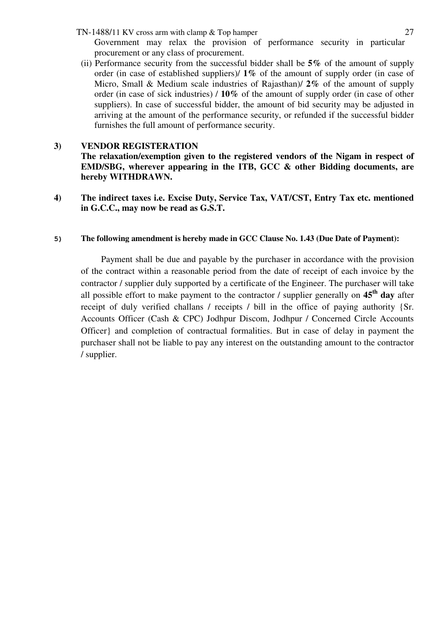- TN-1488/11 KV cross arm with clamp & Top hamper 27 Government may relax the provision of performance security in particular procurement or any class of procurement.
- (ii) Performance security from the successful bidder shall be **5%** of the amount of supply order (in case of established suppliers)/ **1%** of the amount of supply order (in case of Micro, Small & Medium scale industries of Rajasthan)/ **2%** of the amount of supply order (in case of sick industries) / **10%** of the amount of supply order (in case of other suppliers). In case of successful bidder, the amount of bid security may be adjusted in arriving at the amount of the performance security, or refunded if the successful bidder furnishes the full amount of performance security.

#### **3) VENDOR REGISTERATION**

**The relaxation/exemption given to the registered vendors of the Nigam in respect of EMD/SBG, wherever appearing in the ITB, GCC & other Bidding documents, are hereby WITHDRAWN.** 

**4) The indirect taxes i.e. Excise Duty, Service Tax, VAT/CST, Entry Tax etc. mentioned in G.C.C., may now be read as G.S.T.** 

#### **5) The following amendment is hereby made in GCC Clause No. 1.43 (Due Date of Payment):**

 Payment shall be due and payable by the purchaser in accordance with the provision of the contract within a reasonable period from the date of receipt of each invoice by the contractor / supplier duly supported by a certificate of the Engineer. The purchaser will take all possible effort to make payment to the contractor / supplier generally on **45th day** after receipt of duly verified challans / receipts / bill in the office of paying authority {Sr. Accounts Officer (Cash & CPC) Jodhpur Discom, Jodhpur / Concerned Circle Accounts Officer} and completion of contractual formalities. But in case of delay in payment the purchaser shall not be liable to pay any interest on the outstanding amount to the contractor / supplier.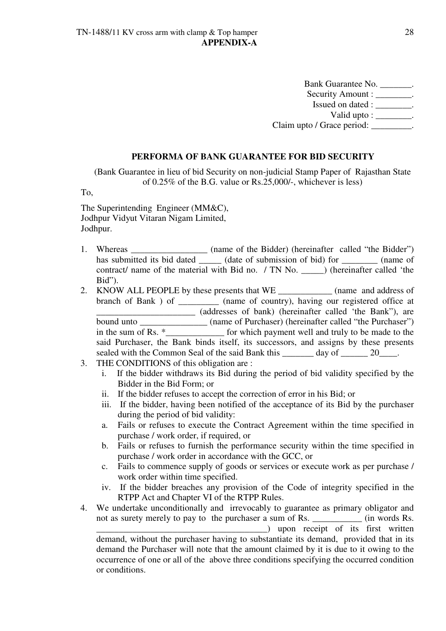Bank Guarantee No. \_\_\_\_\_\_\_. Security Amount : \_\_\_\_\_\_\_\_. Issued on dated : \_\_\_\_\_\_\_\_. Valid upto : \_\_\_\_\_\_\_\_. Claim upto / Grace period: \_\_\_\_\_\_\_\_\_.

#### **PERFORMA OF BANK GUARANTEE FOR BID SECURITY**

(Bank Guarantee in lieu of bid Security on non-judicial Stamp Paper of Rajasthan State of 0.25% of the B.G. value or Rs.25,000/-, whichever is less)

To,

The Superintending Engineer (MM&C), Jodhpur Vidyut Vitaran Nigam Limited, Jodhpur.

- 1. Whereas \_\_\_\_\_\_\_\_\_\_\_\_\_\_\_\_ (name of the Bidder) (hereinafter called "the Bidder") has submitted its bid dated (date of submission of bid) for (name of contract/ name of the material with Bid no. / TN No. \_\_\_\_\_) (hereinafter called 'the Bid").
- 2. KNOW ALL PEOPLE by these presents that WE \_\_\_\_\_\_\_\_\_\_\_\_ (name and address of branch of Bank ) of \_\_\_\_\_\_\_\_\_\_ (name of country), having our registered office at \_\_\_\_\_\_\_\_\_\_\_\_\_\_\_\_\_\_\_\_\_\_ (addresses of bank) (hereinafter called 'the Bank"), are bound unto \_\_\_\_\_\_\_\_\_\_\_\_\_\_\_ (name of Purchaser) (hereinafter called "the Purchaser") in the sum of Rs.  $*$  for which payment well and truly to be made to the said Purchaser, the Bank binds itself, its successors, and assigns by these presents sealed with the Common Seal of the said Bank this day of 20 and 20.
- 3. THE CONDITIONS of this obligation are :

or conditions.

- i. If the bidder withdraws its Bid during the period of bid validity specified by the Bidder in the Bid Form; or
- ii. If the bidder refuses to accept the correction of error in his Bid; or
- iii. If the bidder, having been notified of the acceptance of its Bid by the purchaser during the period of bid validity:
- a. Fails or refuses to execute the Contract Agreement within the time specified in purchase / work order, if required, or
- b. Fails or refuses to furnish the performance security within the time specified in purchase / work order in accordance with the GCC, or
- c. Fails to commence supply of goods or services or execute work as per purchase / work order within time specified.
- iv. If the bidder breaches any provision of the Code of integrity specified in the RTPP Act and Chapter VI of the RTPP Rules.
- 4. We undertake unconditionally and irrevocably to guarantee as primary obligator and not as surety merely to pay to the purchaser a sum of Rs. \_\_\_\_\_\_\_\_\_\_\_ (in words Rs. \_\_\_\_\_\_\_\_\_\_\_\_\_\_\_\_\_\_\_\_\_\_\_\_\_\_\_\_\_\_\_\_\_\_\_\_\_\_) upon receipt of its first written demand, without the purchaser having to substantiate its demand, provided that in its demand the Purchaser will note that the amount claimed by it is due to it owing to the occurrence of one or all of the above three conditions specifying the occurred condition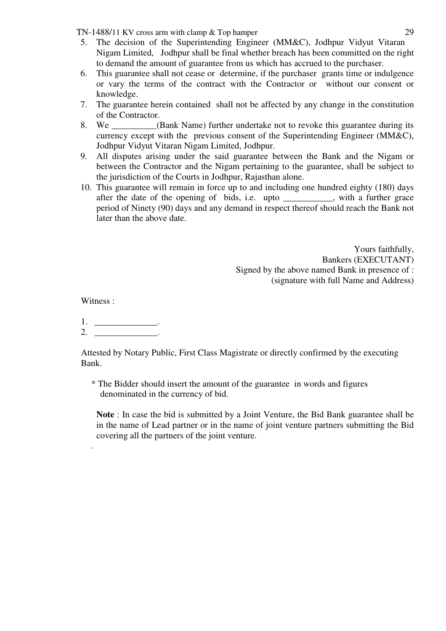TN-1488/11 KV cross arm with clamp & Top hamper 29

- 5. The decision of the Superintending Engineer (MM&C), Jodhpur Vidyut Vitaran Nigam Limited, Jodhpur shall be final whether breach has been committed on the right to demand the amount of guarantee from us which has accrued to the purchaser.
- 6. This guarantee shall not cease or determine, if the purchaser grants time or indulgence or vary the terms of the contract with the Contractor or without our consent or knowledge.
- 7. The guarantee herein contained shall not be affected by any change in the constitution of the Contractor.
- 8. We \_\_\_\_\_\_\_\_\_\_(Bank Name) further undertake not to revoke this guarantee during its currency except with the previous consent of the Superintending Engineer (MM&C), Jodhpur Vidyut Vitaran Nigam Limited, Jodhpur.
- 9. All disputes arising under the said guarantee between the Bank and the Nigam or between the Contractor and the Nigam pertaining to the guarantee, shall be subject to the jurisdiction of the Courts in Jodhpur, Rajasthan alone.
- 10. This guarantee will remain in force up to and including one hundred eighty (180) days after the date of the opening of bids, i.e. upto \_\_\_\_\_\_\_\_\_\_\_, with a further grace period of Ninety (90) days and any demand in respect thereof should reach the Bank not later than the above date.

Yours faithfully, Bankers (EXECUTANT) Signed by the above named Bank in presence of : (signature with full Name and Address)

Witness :

.

1. \_\_\_\_\_\_\_\_\_\_\_\_\_\_\_\_.

 $2.$ 

Attested by Notary Public, First Class Magistrate or directly confirmed by the executing Bank.

\* The Bidder should insert the amount of the guarantee in words and figures denominated in the currency of bid.

**Note** : In case the bid is submitted by a Joint Venture, the Bid Bank guarantee shall be in the name of Lead partner or in the name of joint venture partners submitting the Bid covering all the partners of the joint venture.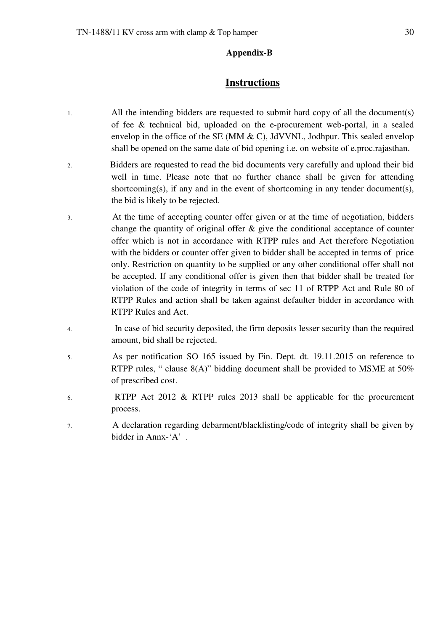#### **Appendix-B**

### **Instructions**

- 1. All the intending bidders are requested to submit hard copy of all the document(s) of fee & technical bid, uploaded on the e-procurement web-portal, in a sealed envelop in the office of the SE (MM  $\&$  C), JdVVNL, Jodhpur. This sealed envelop shall be opened on the same date of bid opening i.e. on website of e.proc.rajasthan.
- 2. Bidders are requested to read the bid documents very carefully and upload their bid well in time. Please note that no further chance shall be given for attending shortcoming(s), if any and in the event of shortcoming in any tender document(s), the bid is likely to be rejected.
- 3. At the time of accepting counter offer given or at the time of negotiation, bidders change the quantity of original offer  $\&$  give the conditional acceptance of counter offer which is not in accordance with RTPP rules and Act therefore Negotiation with the bidders or counter offer given to bidder shall be accepted in terms of price only. Restriction on quantity to be supplied or any other conditional offer shall not be accepted. If any conditional offer is given then that bidder shall be treated for violation of the code of integrity in terms of sec 11 of RTPP Act and Rule 80 of RTPP Rules and action shall be taken against defaulter bidder in accordance with RTPP Rules and Act.
- 4. In case of bid security deposited, the firm deposits lesser security than the required amount, bid shall be rejected.
- 5. As per notification SO 165 issued by Fin. Dept. dt. 19.11.2015 on reference to RTPP rules, " clause 8(A)" bidding document shall be provided to MSME at 50% of prescribed cost.
- 6. RTPP Act 2012 & RTPP rules 2013 shall be applicable for the procurement process.
- 7. A declaration regarding debarment/blacklisting/code of integrity shall be given by bidder in Annx-'A' .